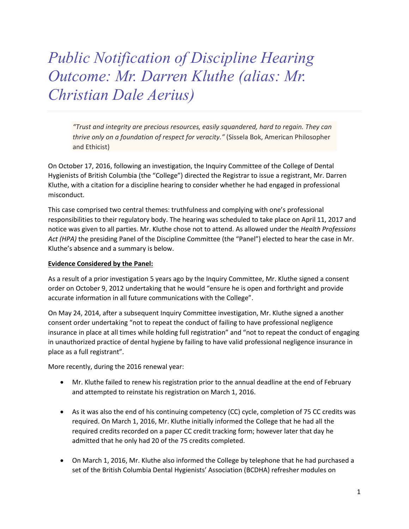## *Public Notification of Discipline Hearing Outcome: Mr. Darren Kluthe (alias: Mr. Christian Dale Aerius)*

*"Trust and integrity are precious resources, easily squandered, hard to regain. They can thrive only on a foundation of respect for veracity."* (Sissela Bok, American Philosopher and Ethicist)

On October 17, 2016, following an investigation, the Inquiry Committee of the College of Dental Hygienists of British Columbia (the "College") directed the Registrar to issue a registrant, Mr. Darren Kluthe, with a citation for a discipline hearing to consider whether he had engaged in professional misconduct.

This case comprised two central themes: truthfulness and complying with one's professional responsibilities to their regulatory body. The hearing was scheduled to take place on April 11, 2017 and notice was given to all parties. Mr. Kluthe chose not to attend. As allowed under the *Health Professions Act (HPA)* the presiding Panel of the Discipline Committee (the "Panel") elected to hear the case in Mr. Kluthe's absence and a summary is below.

## **Evidence Considered by the Panel:**

As a result of a prior investigation 5 years ago by the Inquiry Committee, Mr. Kluthe signed a consent order on October 9, 2012 undertaking that he would "ensure he is open and forthright and provide accurate information in all future communications with the College".

On May 24, 2014, after a subsequent Inquiry Committee investigation, Mr. Kluthe signed a another consent order undertaking "not to repeat the conduct of failing to have professional negligence insurance in place at all times while holding full registration" and "not to repeat the conduct of engaging in unauthorized practice of dental hygiene by failing to have valid professional negligence insurance in place as a full registrant".

More recently, during the 2016 renewal year:

- Mr. Kluthe failed to renew his registration prior to the annual deadline at the end of February and attempted to reinstate his registration on March 1, 2016.
- As it was also the end of his continuing competency (CC) cycle, completion of 75 CC credits was required. On March 1, 2016, Mr. Kluthe initially informed the College that he had all the required credits recorded on a paper CC credit tracking form; however later that day he admitted that he only had 20 of the 75 credits completed.
- On March 1, 2016, Mr. Kluthe also informed the College by telephone that he had purchased a set of the British Columbia Dental Hygienists' Association (BCDHA) refresher modules on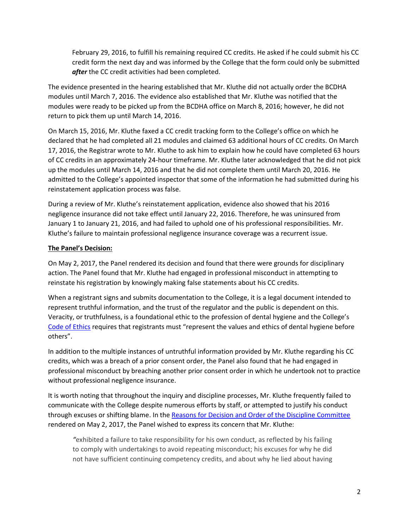February 29, 2016, to fulfill his remaining required CC credits. He asked if he could submit his CC credit form the next day and was informed by the College that the form could only be submitted *after* the CC credit activities had been completed.

The evidence presented in the hearing established that Mr. Kluthe did not actually order the BCDHA modules until March 7, 2016. The evidence also established that Mr. Kluthe was notified that the modules were ready to be picked up from the BCDHA office on March 8, 2016; however, he did not return to pick them up until March 14, 2016.

On March 15, 2016, Mr. Kluthe faxed a CC credit tracking form to the College's office on which he declared that he had completed all 21 modules and claimed 63 additional hours of CC credits. On March 17, 2016, the Registrar wrote to Mr. Kluthe to ask him to explain how he could have completed 63 hours of CC credits in an approximately 24-hour timeframe. Mr. Kluthe later acknowledged that he did not pick up the modules until March 14, 2016 and that he did not complete them until March 20, 2016. He admitted to the College's appointed inspector that some of the information he had submitted during his reinstatement application process was false.

During a review of Mr. Kluthe's reinstatement application, evidence also showed that his 2016 negligence insurance did not take effect until January 22, 2016. Therefore, he was uninsured from January 1 to January 21, 2016, and had failed to uphold one of his professional responsibilities. Mr. Kluthe's failure to maintain professional negligence insurance coverage was a recurrent issue.

## **The Panel's Decision:**

On May 2, 2017, the Panel rendered its decision and found that there were grounds for disciplinary action. The Panel found that Mr. Kluthe had engaged in professional misconduct in attempting to reinstate his registration by knowingly making false statements about his CC credits.

When a registrant signs and submits documentation to the College, it is a legal document intended to represent truthful information, and the trust of the regulator and the public is dependent on this. Veracity, or truthfulness, is a foundational ethic to the profession of dental hygiene and the College's [Code of Ethics](http://www.cdhbc.com/Practice-Resources/Code-of-Ethics.aspx) requires that registrants must "represent the values and ethics of dental hygiene before others".

In addition to the multiple instances of untruthful information provided by Mr. Kluthe regarding his CC credits, which was a breach of a prior consent order, the Panel also found that he had engaged in professional misconduct by breaching another prior consent order in which he undertook not to practice without professional negligence insurance.

It is worth noting that throughout the inquiry and discipline processes, Mr. Kluthe frequently failed to communicate with the College despite numerous efforts by staff, or attempted to justify his conduct through excuses or shifting blame. In the [Reasons for Decision and Order of the Discipline Committee](http://www.cdhbc.com/Documents/Kluthe-Decision.aspx) rendered on May 2, 2017, the Panel wished to express its concern that Mr. Kluthe:

*"*exhibited a failure to take responsibility for his own conduct, as reflected by his failing to comply with undertakings to avoid repeating misconduct; his excuses for why he did not have sufficient continuing competency credits, and about why he lied about having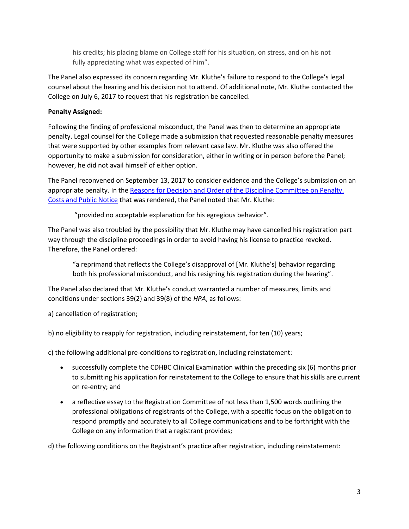his credits; his placing blame on College staff for his situation, on stress, and on his not fully appreciating what was expected of him".

The Panel also expressed its concern regarding Mr. Kluthe's failure to respond to the College's legal counsel about the hearing and his decision not to attend. Of additional note, Mr. Kluthe contacted the College on July 6, 2017 to request that his registration be cancelled.

## **Penalty Assigned:**

Following the finding of professional misconduct, the Panel was then to determine an appropriate penalty. Legal counsel for the College made a submission that requested reasonable penalty measures that were supported by other examples from relevant case law. Mr. Kluthe was also offered the opportunity to make a submission for consideration, either in writing or in person before the Panel; however, he did not avail himself of either option.

The Panel reconvened on September 13, 2017 to consider evidence and the College's submission on an appropriate penalty. In th[e Reasons for Decision and Order of the Discipline Committee on Penalty,](http://www.cdhbc.com/Documents/Kluthe-Decision-on-Penalty.aspx)  [Costs and Public Notice](http://www.cdhbc.com/Documents/Kluthe-Decision-on-Penalty.aspx) that was rendered, the Panel noted that Mr. Kluthe:

"provided no acceptable explanation for his egregious behavior".

The Panel was also troubled by the possibility that Mr. Kluthe may have cancelled his registration part way through the discipline proceedings in order to avoid having his license to practice revoked. Therefore, the Panel ordered:

"a reprimand that reflects the College's disapproval of [Mr. Kluthe's] behavior regarding both his professional misconduct, and his resigning his registration during the hearing".

The Panel also declared that Mr. Kluthe's conduct warranted a number of measures, limits and conditions under sections 39(2) and 39(8) of the *HPA*, as follows:

a) cancellation of registration;

b) no eligibility to reapply for registration, including reinstatement, for ten (10) years;

c) the following additional pre-conditions to registration, including reinstatement:

- successfully complete the CDHBC Clinical Examination within the preceding six (6) months prior to submitting his application for reinstatement to the College to ensure that his skills are current on re-entry; and
- a reflective essay to the Registration Committee of not less than 1,500 words outlining the professional obligations of registrants of the College, with a specific focus on the obligation to respond promptly and accurately to all College communications and to be forthright with the College on any information that a registrant provides;

d) the following conditions on the Registrant's practice after registration, including reinstatement: